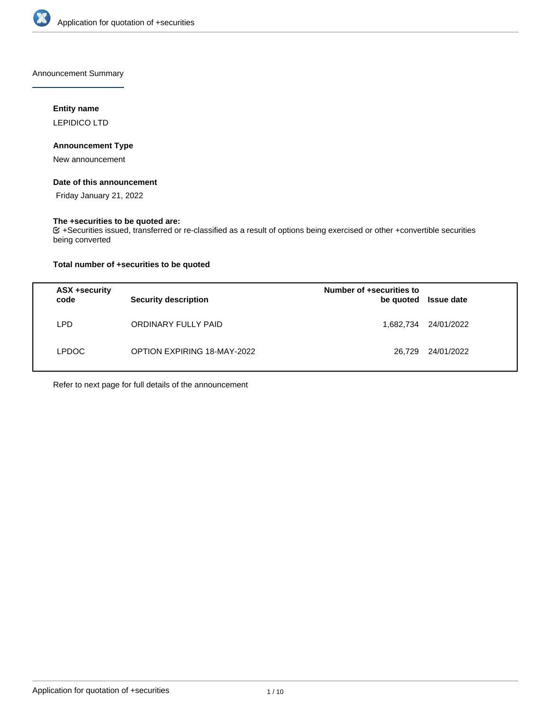

Announcement Summary

# **Entity name**

LEPIDICO LTD

# **Announcement Type**

New announcement

# **Date of this announcement**

Friday January 21, 2022

# **The +securities to be quoted are:**

+Securities issued, transferred or re-classified as a result of options being exercised or other +convertible securities being converted

# **Total number of +securities to be quoted**

| ASX +security<br>code | <b>Security description</b>        | Number of +securities to<br>be quoted | <b>Issue date</b> |
|-----------------------|------------------------------------|---------------------------------------|-------------------|
| ∟PD.                  | ORDINARY FULLY PAID                | 1,682,734                             | 24/01/2022        |
| LPDOC                 | <b>OPTION EXPIRING 18-MAY-2022</b> | 26.729                                | 24/01/2022        |

Refer to next page for full details of the announcement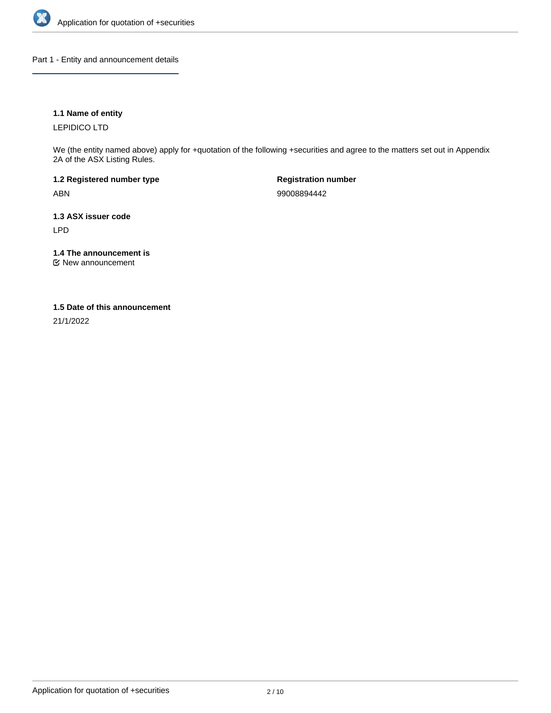

Part 1 - Entity and announcement details

# **1.1 Name of entity**

LEPIDICO LTD

We (the entity named above) apply for +quotation of the following +securities and agree to the matters set out in Appendix 2A of the ASX Listing Rules.

**1.2 Registered number type** ABN

**Registration number** 99008894442

**1.3 ASX issuer code** LPD

**1.4 The announcement is**

New announcement

## **1.5 Date of this announcement**

21/1/2022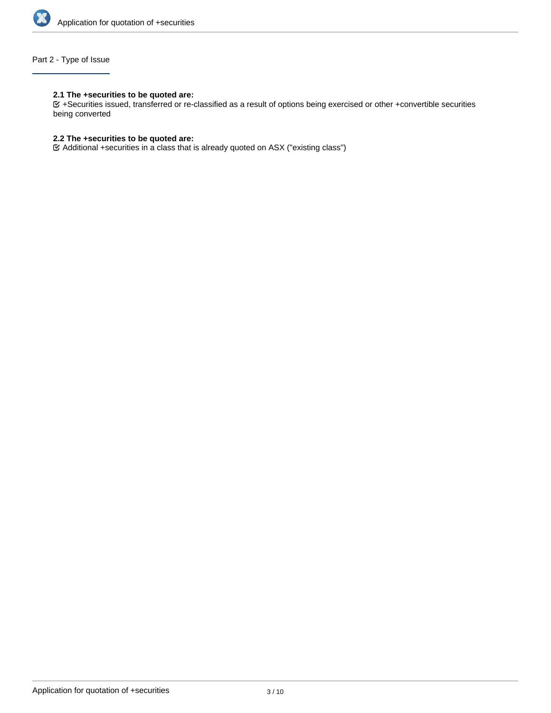

# Part 2 - Type of Issue

## **2.1 The +securities to be quoted are:**

+Securities issued, transferred or re-classified as a result of options being exercised or other +convertible securities being converted

# **2.2 The +securities to be quoted are:**

Additional +securities in a class that is already quoted on ASX ("existing class")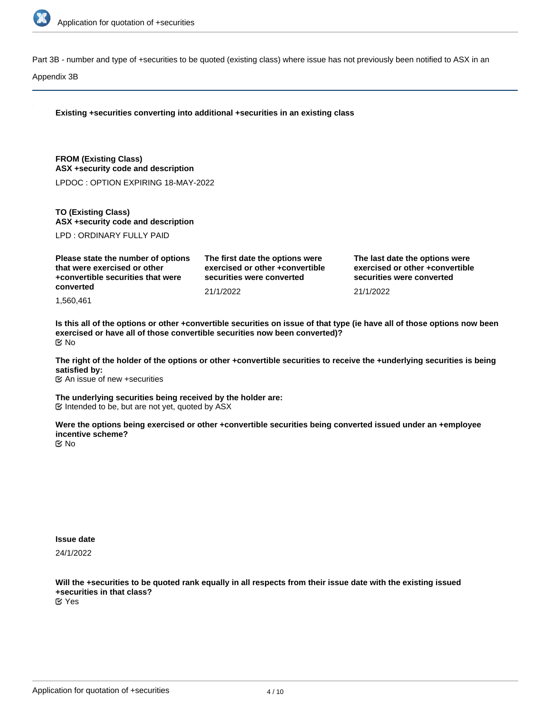

Part 3B - number and type of +securities to be quoted (existing class) where issue has not previously been notified to ASX in an

Appendix 3B

| Existing +securities converting into additional +securities in an existing class                                     |                                                                                                 |                                                                                                |  |
|----------------------------------------------------------------------------------------------------------------------|-------------------------------------------------------------------------------------------------|------------------------------------------------------------------------------------------------|--|
| <b>FROM (Existing Class)</b><br>ASX +security code and description                                                   |                                                                                                 |                                                                                                |  |
| LPDOC: OPTION EXPIRING 18-MAY-2022                                                                                   |                                                                                                 |                                                                                                |  |
| <b>TO (Existing Class)</b><br>ASX +security code and description                                                     |                                                                                                 |                                                                                                |  |
| LPD : ORDINARY FULLY PAID                                                                                            |                                                                                                 |                                                                                                |  |
| Please state the number of options<br>that were exercised or other<br>+convertible securities that were<br>converted | The first date the options were<br>exercised or other +convertible<br>securities were converted | The last date the options were<br>exercised or other +convertible<br>securities were converted |  |
|                                                                                                                      | 21/1/2022                                                                                       | 21/1/2022                                                                                      |  |

1,560,461

**Is this all of the options or other +convertible securities on issue of that type (ie have all of those options now been exercised or have all of those convertible securities now been converted)?** No

**The right of the holder of the options or other +convertible securities to receive the +underlying securities is being satisfied by:**

An issue of new +securities

**The underlying securities being received by the holder are:**  $G$  Intended to be, but are not yet, quoted by  $ASX$ 

**Were the options being exercised or other +convertible securities being converted issued under an +employee incentive scheme?** No

**Issue date**

24/1/2022

**Will the +securities to be quoted rank equally in all respects from their issue date with the existing issued +securities in that class?** Yes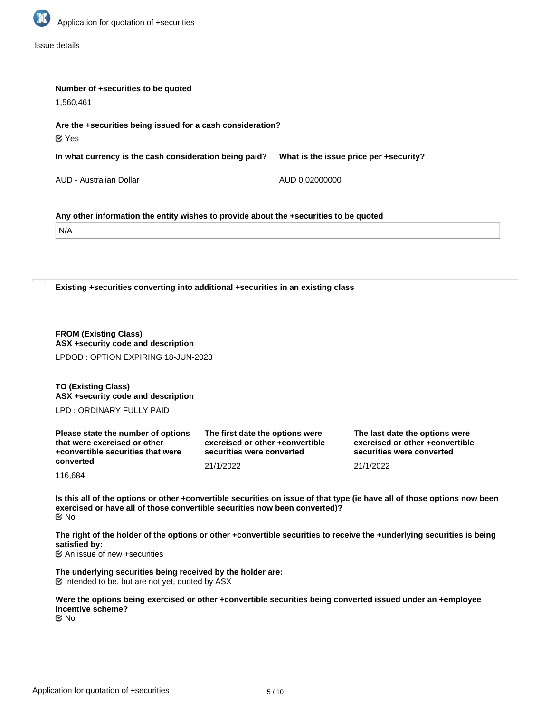

Issue details

| Number of +securities to be quoted<br>1,560,461                                                  |  |  |  |
|--------------------------------------------------------------------------------------------------|--|--|--|
|                                                                                                  |  |  |  |
| Are the +securities being issued for a cash consideration?<br>$\mathfrak{C}$ Yes                 |  |  |  |
| In what currency is the cash consideration being paid?<br>What is the issue price per +security? |  |  |  |
| AUD - Australian Dollar<br>AUD 0.02000000                                                        |  |  |  |
| Any other information the entity wishes to provide about the +securities to be quoted<br>N/A     |  |  |  |
| Existing +securities converting into additional +securities in an existing class                 |  |  |  |
| <b>FROM (Existing Class)</b><br>ASX +security code and description                               |  |  |  |
| LPDOD: OPTION EXPIRING 18-JUN-2023                                                               |  |  |  |

**TO (Existing Class) ASX +security code and description**

LPD : ORDINARY FULLY PAID

| Please state the number of options<br>that were exercised or other<br>+convertible securities that were | The first date the options were<br>exercised or other +convertible<br>securities were converted | The last date the options were<br>exercised or other +convertible<br>securities were converted |  |
|---------------------------------------------------------------------------------------------------------|-------------------------------------------------------------------------------------------------|------------------------------------------------------------------------------------------------|--|
| converted                                                                                               | 21/1/2022                                                                                       | 21/1/2022                                                                                      |  |
| 116,684                                                                                                 |                                                                                                 |                                                                                                |  |

**Is this all of the options or other +convertible securities on issue of that type (ie have all of those options now been exercised or have all of those convertible securities now been converted)?** No

**The right of the holder of the options or other +convertible securities to receive the +underlying securities is being satisfied by:**

An issue of new +securities

**The underlying securities being received by the holder are:**  $E$  Intended to be, but are not yet, quoted by ASX

**Were the options being exercised or other +convertible securities being converted issued under an +employee incentive scheme?** No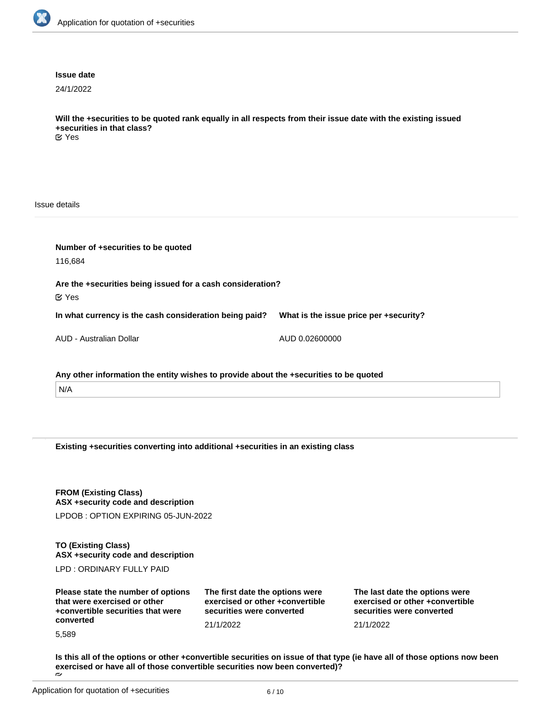

#### **Issue date**

24/1/2022

**Will the +securities to be quoted rank equally in all respects from their issue date with the existing issued +securities in that class?** Yes

Issue details

| Number of +securities to be quoted<br>116,684                                         |                                        |  |  |
|---------------------------------------------------------------------------------------|----------------------------------------|--|--|
| Are the +securities being issued for a cash consideration?<br>$\alpha$ Yes            |                                        |  |  |
| In what currency is the cash consideration being paid?                                | What is the issue price per +security? |  |  |
| AUD - Australian Dollar                                                               | AUD 0.02600000                         |  |  |
| Any other information the entity wishes to provide about the +securities to be quoted |                                        |  |  |

N/A

**Existing +securities converting into additional +securities in an existing class**

**FROM (Existing Class) ASX +security code and description**

LPDOB : OPTION EXPIRING 05-JUN-2022

**TO (Existing Class) ASX +security code and description**

LPD : ORDINARY FULLY PAID

| Please state the number of options<br>that were exercised or other<br>+convertible securities that were | The first date the options were<br>exercised or other +convertible<br>securities were converted | The last date the options were<br>exercised or other +convertible<br>securities were converted |
|---------------------------------------------------------------------------------------------------------|-------------------------------------------------------------------------------------------------|------------------------------------------------------------------------------------------------|
| converted                                                                                               | 21/1/2022                                                                                       | 21/1/2022                                                                                      |
| 5,589                                                                                                   |                                                                                                 |                                                                                                |

**Is this all of the options or other +convertible securities on issue of that type (ie have all of those options now been exercised or have all of those convertible securities now been converted)?**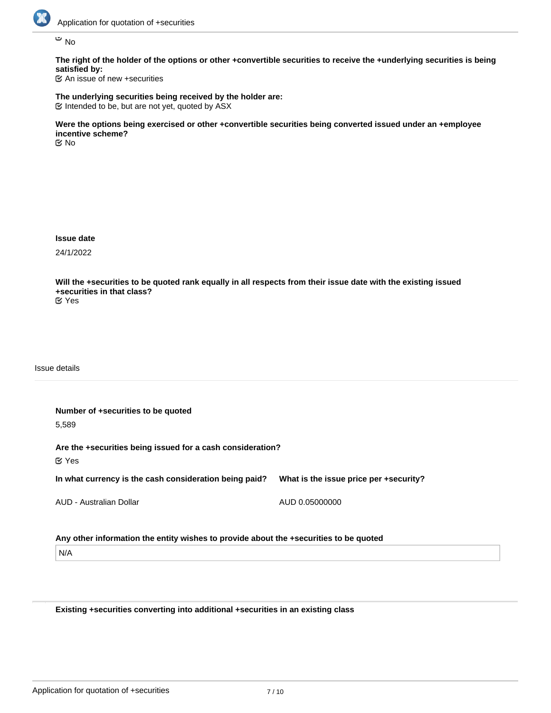

No

**The right of the holder of the options or other +convertible securities to receive the +underlying securities is being satisfied by:**

An issue of new +securities

**The underlying securities being received by the holder are:**  $\mathfrak C$  Intended to be, but are not yet, quoted by ASX

**Were the options being exercised or other +convertible securities being converted issued under an +employee incentive scheme?** No

**Issue date**

24/1/2022

**Will the +securities to be quoted rank equally in all respects from their issue date with the existing issued +securities in that class?**

Yes

Issue details

**Number of +securities to be quoted** 5,589 **Are the +securities being issued for a cash consideration? In what currency is the cash consideration being paid?** AUD - Australian Dollar **What is the issue price per +security?** AUD 0.05000000 Yes

**Any other information the entity wishes to provide about the +securities to be quoted**

N/A

**Existing +securities converting into additional +securities in an existing class**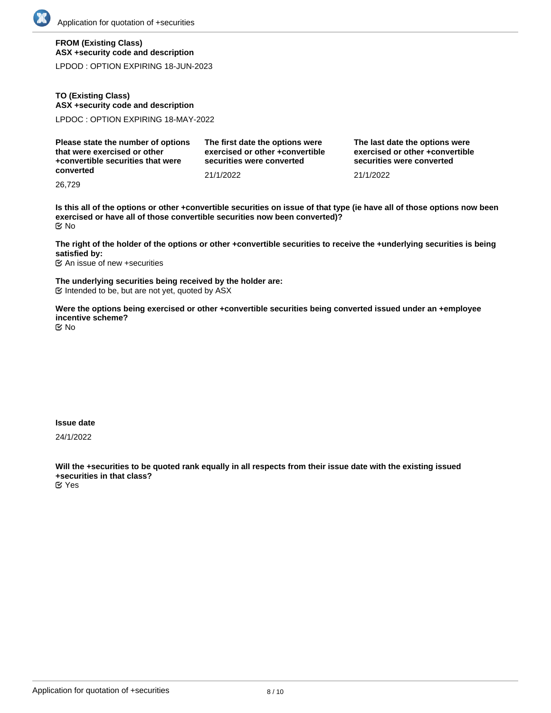# **FROM (Existing Class) ASX +security code and description**

LPDOD : OPTION EXPIRING 18-JUN-2023

# **TO (Existing Class) ASX +security code and description**

LPDOC : OPTION EXPIRING 18-MAY-2022

| Please state the number of options | The first date the options were | The last date the options were  |
|------------------------------------|---------------------------------|---------------------------------|
| that were exercised or other       | exercised or other +convertible | exercised or other +convertible |
| +convertible securities that were  | securities were converted       | securities were converted       |
| converted                          | 21/1/2022                       | 21/1/2022                       |

26,729

**Is this all of the options or other +convertible securities on issue of that type (ie have all of those options now been exercised or have all of those convertible securities now been converted)?** No

**The right of the holder of the options or other +convertible securities to receive the +underlying securities is being satisfied by:**

An issue of new +securities

**The underlying securities being received by the holder are:**  $\mathfrak C$  Intended to be, but are not yet, quoted by ASX

**Were the options being exercised or other +convertible securities being converted issued under an +employee incentive scheme?**

No

## **Issue date**

24/1/2022

**Will the +securities to be quoted rank equally in all respects from their issue date with the existing issued +securities in that class?** Yes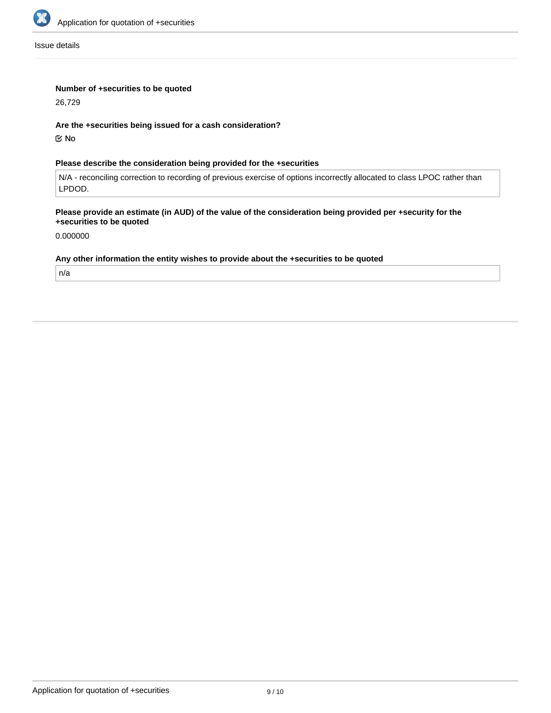

Issue details

# **Number of +securities to be quoted**

26,729

### **Are the +securities being issued for a cash consideration?**

No

# **Please describe the consideration being provided for the +securities**

N/A - reconciling correction to recording of previous exercise of options incorrectly allocated to class LPOC rather than LPDOD.

## **Please provide an estimate (in AUD) of the value of the consideration being provided per +security for the +securities to be quoted**

0.000000

#### **Any other information the entity wishes to provide about the +securities to be quoted**

n/a